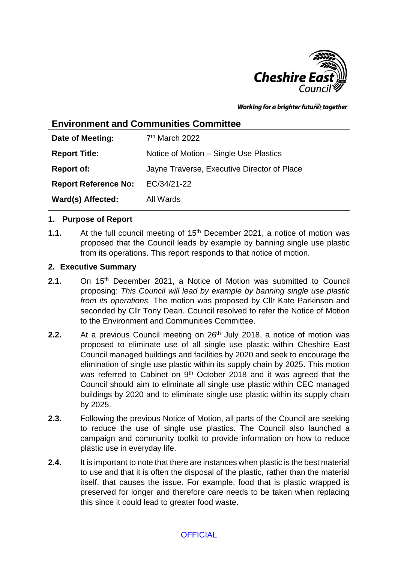

Working for a brighter futures together

# **Environment and Communities Committee**

| Date of Meeting:            | 7 <sup>th</sup> March 2022                  |
|-----------------------------|---------------------------------------------|
| <b>Report Title:</b>        | Notice of Motion – Single Use Plastics      |
| <b>Report of:</b>           | Jayne Traverse, Executive Director of Place |
| <b>Report Reference No:</b> | EC/34/21-22                                 |
| Ward(s) Affected:           | All Wards                                   |

### **1. Purpose of Report**

**1.1.** At the full council meeting of 15th December 2021, a notice of motion was proposed that the Council leads by example by banning single use plastic from its operations. This report responds to that notice of motion.

### **2. Executive Summary**

- **2.1.** On 15<sup>th</sup> December 2021, a Notice of Motion was submitted to Council proposing: *This Council will lead by example by banning single use plastic from its operations.* The motion was proposed by Cllr Kate Parkinson and seconded by Cllr Tony Dean. Council resolved to refer the Notice of Motion to the Environment and Communities Committee.
- **2.2.** At a previous Council meeting on 26<sup>th</sup> July 2018, a notice of motion was proposed to eliminate use of all single use plastic within Cheshire East Council managed buildings and facilities by 2020 and seek to encourage the elimination of single use plastic within its supply chain by 2025. This motion was referred to Cabinet on 9<sup>th</sup> October 2018 and it was agreed that the Council should aim to eliminate all single use plastic within CEC managed buildings by 2020 and to eliminate single use plastic within its supply chain by 2025.
- **2.3.** Following the previous Notice of Motion, all parts of the Council are seeking to reduce the use of single use plastics. The Council also launched a campaign and community toolkit to provide information on how to reduce plastic use in everyday life.
- **2.4.** It is important to note that there are instances when plastic is the best material to use and that it is often the disposal of the plastic, rather than the material itself, that causes the issue. For example, food that is plastic wrapped is preserved for longer and therefore care needs to be taken when replacing this since it could lead to greater food waste.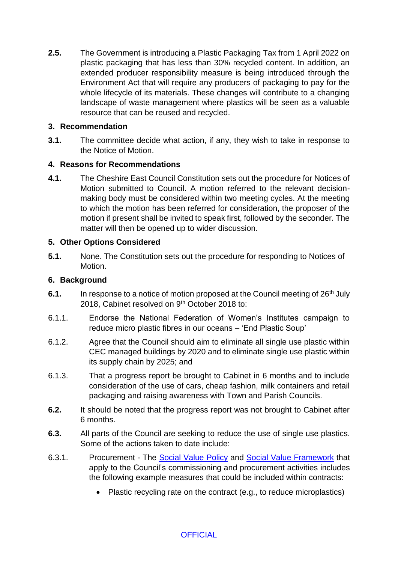**2.5.** The Government is introducing a Plastic Packaging Tax from 1 April 2022 on plastic packaging that has less than 30% recycled content. In addition, an extended producer responsibility measure is being introduced through the Environment Act that will require any producers of packaging to pay for the whole lifecycle of its materials. These changes will contribute to a changing landscape of waste management where plastics will be seen as a valuable resource that can be reused and recycled.

## **3. Recommendation**

**3.1.** The committee decide what action, if any, they wish to take in response to the Notice of Motion.

# **4. Reasons for Recommendations**

**4.1.** The Cheshire East Council Constitution sets out the procedure for Notices of Motion submitted to Council. A motion referred to the relevant decisionmaking body must be considered within two meeting cycles. At the meeting to which the motion has been referred for consideration, the proposer of the motion if present shall be invited to speak first, followed by the seconder. The matter will then be opened up to wider discussion.

### **5. Other Options Considered**

**5.1.** None. The Constitution sets out the procedure for responding to Notices of Motion.

### **6. Background**

- **6.1.** In response to a notice of motion proposed at the Council meeting of 26<sup>th</sup> July 2018, Cabinet resolved on 9<sup>th</sup> October 2018 to:
- 6.1.1. Endorse the National Federation of Women's Institutes campaign to reduce micro plastic fibres in our oceans – 'End Plastic Soup'
- 6.1.2. Agree that the Council should aim to eliminate all single use plastic within CEC managed buildings by 2020 and to eliminate single use plastic within its supply chain by 2025; and
- 6.1.3. That a progress report be brought to Cabinet in 6 months and to include consideration of the use of cars, cheap fashion, milk containers and retail packaging and raising awareness with Town and Parish Councils.
- **6.2.** It should be noted that the progress report was not brought to Cabinet after 6 months.
- **6.3.** All parts of the Council are seeking to reduce the use of single use plastics. Some of the actions taken to date include:
- 6.3.1. Procurement The [Social Value](https://www.cheshireeast.gov.uk/pdf/business/procurement/cheshire-east-social-value-policy-nov-21.pdf) Policy and [Social Value Framework](https://www.cheshireeast.gov.uk/pdf/business/procurement/cheshire-east-social-value-framework-july-21.pdf) that apply to the Council's commissioning and procurement activities includes the following example measures that could be included within contracts:
	- Plastic recycling rate on the contract (e.g., to reduce microplastics)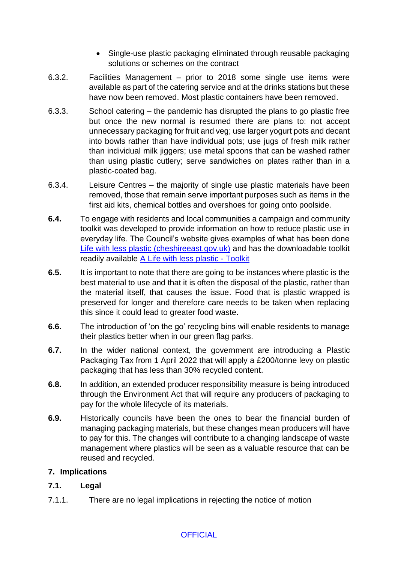- Single-use plastic packaging eliminated through reusable packaging solutions or schemes on the contract
- 6.3.2. Facilities Management prior to 2018 some single use items were available as part of the catering service and at the drinks stations but these have now been removed. Most plastic containers have been removed.
- 6.3.3. School catering the pandemic has disrupted the plans to go plastic free but once the new normal is resumed there are plans to: not accept unnecessary packaging for fruit and veg; use larger yogurt pots and decant into bowls rather than have individual pots; use jugs of fresh milk rather than individual milk jiggers; use metal spoons that can be washed rather than using plastic cutlery; serve sandwiches on plates rather than in a plastic-coated bag.
- 6.3.4. Leisure Centres the majority of single use plastic materials have been removed, those that remain serve important purposes such as items in the first aid kits, chemical bottles and overshoes for going onto poolside.
- **6.4.** To engage with residents and local communities a campaign and community toolkit was developed to provide information on how to reduce plastic use in everyday life. The Council's website gives examples of what has been done [Life with less plastic \(cheshireeast.gov.uk\)](https://www.cheshireeast.gov.uk/waste_and_recycling/reducing-household-waste/life-with-less-plastic.aspx) and has the downloadable toolkit readily available [A Life with less plastic -](https://www.cheshireeast.gov.uk/pdf/waste-and-recycling/life-with-less-plastic-toolkit.pdf) Toolkit
- **6.5.** It is important to note that there are going to be instances where plastic is the best material to use and that it is often the disposal of the plastic, rather than the material itself, that causes the issue. Food that is plastic wrapped is preserved for longer and therefore care needs to be taken when replacing this since it could lead to greater food waste.
- **6.6.** The introduction of 'on the go' recycling bins will enable residents to manage their plastics better when in our green flag parks.
- **6.7.** In the wider national context, the government are introducing a Plastic Packaging Tax from 1 April 2022 that will apply a £200/tonne levy on plastic packaging that has less than 30% recycled content.
- **6.8.** In addition, an extended producer responsibility measure is being introduced through the Environment Act that will require any producers of packaging to pay for the whole lifecycle of its materials.
- **6.9.** Historically councils have been the ones to bear the financial burden of managing packaging materials, but these changes mean producers will have to pay for this. The changes will contribute to a changing landscape of waste management where plastics will be seen as a valuable resource that can be reused and recycled.

# **7. Implications**

# **7.1. Legal**

7.1.1. There are no legal implications in rejecting the notice of motion